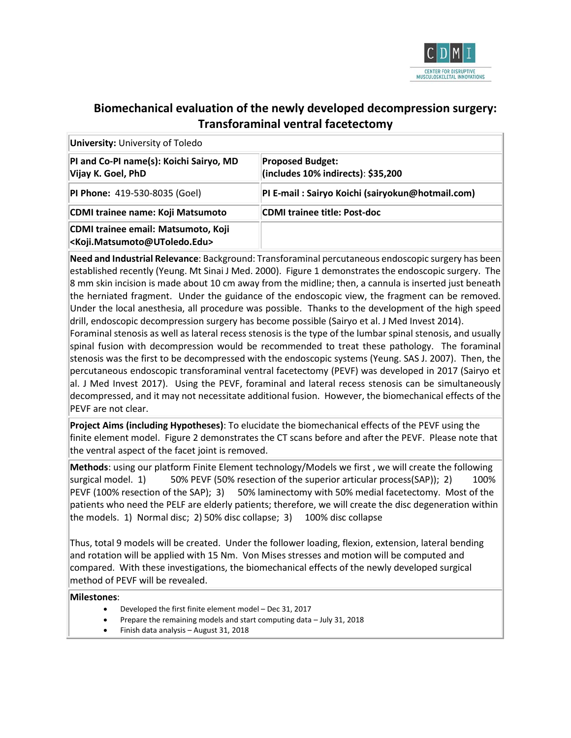

### **Biomechanical evaluation of the newly developed decompression surgery: Transforaminal ventral facetectomy**

| <b>University:</b> University of Toledo                                                          |                                                               |  |  |
|--------------------------------------------------------------------------------------------------|---------------------------------------------------------------|--|--|
| PI and Co-PI name(s): Koichi Sairyo, MD<br>Vijay K. Goel, PhD                                    | <b>Proposed Budget:</b><br>(includes 10% indirects): \$35,200 |  |  |
| <b>PI Phone: 419-530-8035 (Goel)</b>                                                             | PI E-mail: Sairyo Koichi (sairyokun@hotmail.com)              |  |  |
| CDMI trainee name: Koji Matsumoto                                                                | <b>CDMI trainee title: Post-doc</b>                           |  |  |
| CDMI trainee email: Matsumoto, Koji<br><koji.matsumoto@utoledo.edu></koji.matsumoto@utoledo.edu> |                                                               |  |  |

**Need and Industrial Relevance**: Background: Transforaminal percutaneous endoscopic surgery has been established recently (Yeung. Mt Sinai J Med. 2000). Figure 1 demonstrates the endoscopic surgery. The 8 mm skin incision is made about 10 cm away from the midline; then, a cannula is inserted just beneath the herniated fragment. Under the guidance of the endoscopic view, the fragment can be removed. Under the local anesthesia, all procedure was possible. Thanks to the development of the high speed drill, endoscopic decompression surgery has become possible (Sairyo et al. J Med Invest 2014).

Foraminal stenosis as well as lateral recess stenosis is the type of the lumbar spinal stenosis, and usually spinal fusion with decompression would be recommended to treat these pathology. The foraminal stenosis was the first to be decompressed with the endoscopic systems (Yeung. SAS J. 2007). Then, the percutaneous endoscopic transforaminal ventral facetectomy (PEVF) was developed in 2017 (Sairyo et al. J Med Invest 2017). Using the PEVF, foraminal and lateral recess stenosis can be simultaneously decompressed, and it may not necessitate additional fusion. However, the biomechanical effects of the PEVF are not clear.

**Project Aims (including Hypotheses)**: To elucidate the biomechanical effects of the PEVF using the finite element model. Figure 2 demonstrates the CT scans before and after the PEVF. Please note that the ventral aspect of the facet joint is removed.

**Methods**: using our platform Finite Element technology/Models we first , we will create the following surgical model. 1) 50% PEVF (50% resection of the superior articular process(SAP)); 2) 100% PEVF (100% resection of the SAP); 3) 50% laminectomy with 50% medial facetectomy. Most of the patients who need the PELF are elderly patients; therefore, we will create the disc degeneration within the models. 1) Normal disc; 2) 50% disc collapse; 3) 100% disc collapse

Thus, total 9 models will be created. Under the follower loading, flexion, extension, lateral bending and rotation will be applied with 15 Nm. Von Mises stresses and motion will be computed and compared. With these investigations, the biomechanical effects of the newly developed surgical method of PEVF will be revealed.

#### **Milestones**:

- Developed the first finite element model Dec 31, 2017
- Prepare the remaining models and start computing data July 31, 2018
- Finish data analysis August 31, 2018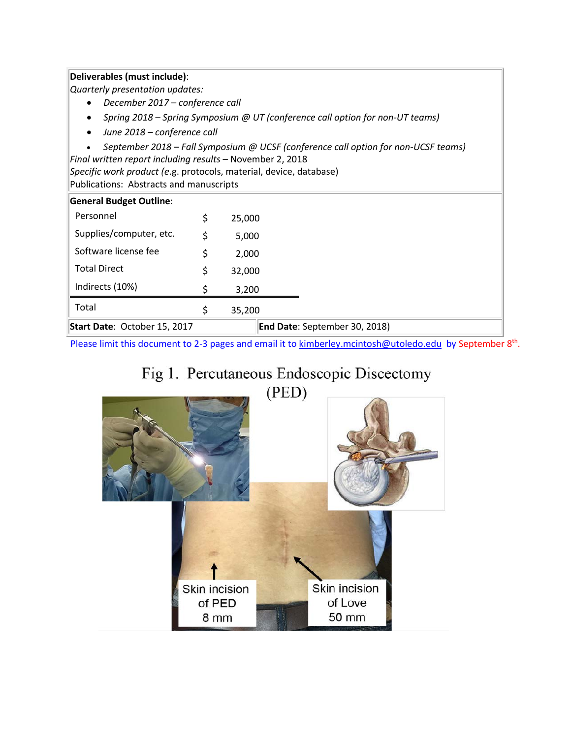### **Deliverables (must include)**:

*Quarterly presentation updates:*

- *December 2017 – conference call*
- *Spring 2018 – Spring Symposium @ UT (conference call option for non-UT teams)*
- *June 2018 – conference call*
- *September 2018 – Fall Symposium @ UCSF (conference call option for non-UCSF teams)*

*Final written report including results* – November 2, 2018

*Specific work product (e*.g. protocols, material, device, database) Publications: Abstracts and manuscripts

| <b>General Budget Outline:</b> |    |                               |  |
|--------------------------------|----|-------------------------------|--|
| Personnel                      | S  | 25,000                        |  |
| Supplies/computer, etc.        | Ś  | 5,000                         |  |
| Software license fee           | \$ | 2,000                         |  |
| <b>Total Direct</b>            | Ś  | 32,000                        |  |
| Indirects (10%)                |    | 3,200                         |  |
| Total                          |    | 35,200                        |  |
| Start Date: October 15, 2017   |    | End Date: September 30, 2018) |  |

Please limit this document to 2-3 pages and email it t[o kimberley.mcintosh@utoledo.edu](mailto:kimberley.mcintosh@utoledo.edu) by September 8<sup>th</sup>.

# Fig 1. Percutaneous Endoscopic Discectomy